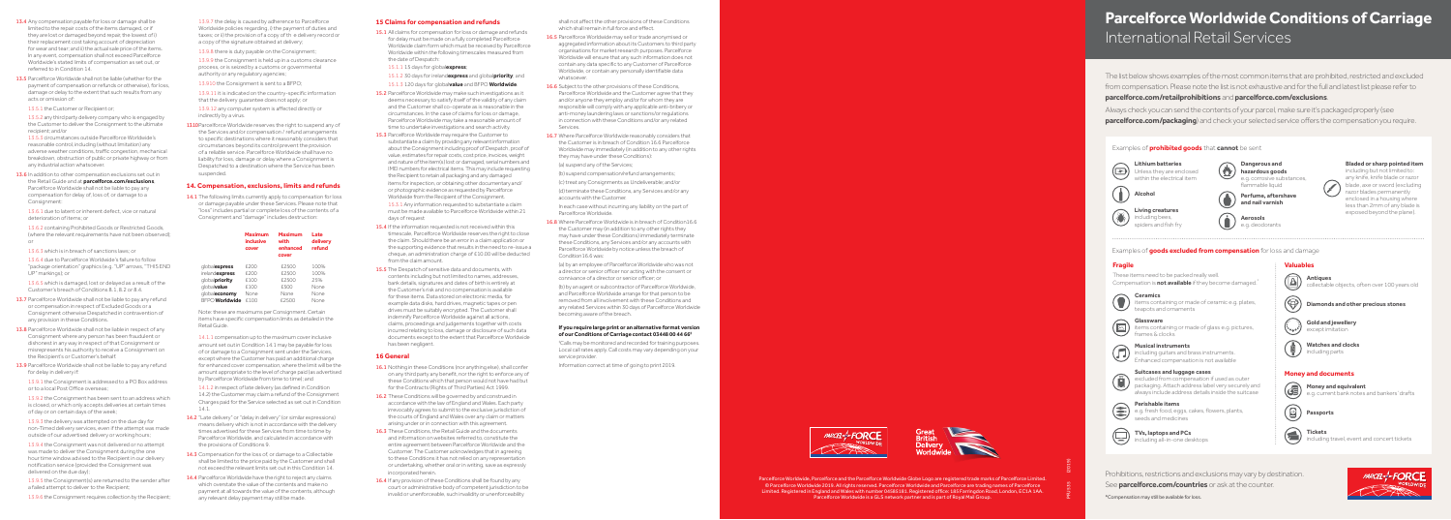Parcelforce Worldwide, Parcelforce and the Parcelforce Worldwide Globe Logo are registered trade marks of Parcelforce Limited. © Parcelforce Worldwide 2019. All rights reserved. Parcelforce Worldwide and Parcelforce are trading names of Parcelforce Limited. Registered in England and Wales with number 04585181. Registered office: 185 Farringdon Road, London, EC1A 1AA. Parcelforce Worldwide is a GLS network partner and is part of Royal Mail Group.

Always check you can send the contents of your parcel, make sure it's packaged properly (see **parcelforce.com/packaging**) and check your selected service offers the compensation you require.

## **Parcelforce Worldwide Conditions of Carriage**  International Retail Services

ncluding guitars and brass instruments. Enhanced compensation is not available

The list below shows examples of the most common items that are prohibited, restricted and excluded from compensation. Please note the list is not exhaustive and for the full and latest list please refer to **parcelforce.com/retailprohibitions** and **parcelforce.com/exclusions**.

items containing or made of glass e.g. pictures, rames & clocks

**Gold and jewellery** except imitation

e.g. current bank notes and bankers' drafts

#### Examples of **prohibited goods** that **cannot** be sent

**Money and documents**

Prohibitions, restrictions and exclusions may vary by destination. See **parcelforce.com/countries** or ask at the counter



## **Musical instruments**

#### **Suitcases and luggage cases**

excluded from compensation if used as outer packaging. Attach address label very securely and always include address details inside the suitcase

**TVs, laptops and PCs** including all-in-one desktops **Passports**

**Tickets**

〔曾〕

Money and equivalent

- 13.4 Any compensation payable for loss or damage shall be limited to the repair costs of the items damaged, or if they are lost or damaged beyond repair, the lowest of i) their replacement cost taking account of depreciation for wear and tear; and ii) the actual sale price of the items. In any event, compensation shall not exceed Parcelforce Worldwide's stated limits of compensation as set out, or referred to in Condition 14.
- 13.5 Parcelforce Worldwide shall not be liable (whether for the payment of compensation or refunds or otherwise), for loss, damage or delay to the extent that such results from any acts or omission of:
- 13.5.1 the Customer or Recipient or;
- 13.5.2 any third party delivery company who is engaged by the Customer to deliver the Consignment to the ultimate recipient; and/or

Examples of **goods excluded from compensation** for loss and damage

#### **Fragile**

These items need to be packed really well. Compensation is **not available** if they become damaged.\*

#### **Glassware**



tems containing or made of ceramic e.g. plates, teapots and ornaments

13.6 In addition to other compensation exclusions set out in the Retail Guide and at **parcelforce.com/exclusions**, Parcelforce Worldwide shall not be liable to pay any compensation for delay of, loss of, or damage to a Consignment:

**Valuables**

 $\circledB$ 

**Antiques** 

collectable objects, often over 100 years old

**Diamonds and other precious stones**

including travel, event and concert tickets

**Watches and clocks** including parts

#### **Perishable items**

e.g. fresh food, eggs, cakes, flowers, plants, seeds and medicines

\*Compensation may still be available for loss.

- 13.7 Parcelforce Worldwide shall not be liable to pay any refund or compensation in respect of Excluded Goods or a Consignment otherwise Despatched in contravention of any provision in these Conditions.
- 13.8 Parcelforce Worldwide shall not be liable in respect of any Consignment where any person has been fraudulent or dishonest in any way in respect of that Consignment or misrepresents his authority to receive a Consignment on the Recipient's or Customer's behalf.
- 13.9 Parcelforce Worldwide shall not be liable to pay any refund for delay in delivery if:

13.5.3 circumstances outside Parcelforce Worldwide's reasonable control, including (without limitation) any adverse weather conditions, traffic congestion, mechanical breakdown, obstruction of public or private highway or from any industrial action whatsoever.

13.10 Parcelforce Worldwide reserves the right to suspend any of the Services and/or compensation / refund arrangements to specific destinations where it reasonably considers that circumstances beyond its control prevent the provision of a reliable service. Parcelforce Worldwide shall have no liability for loss, damage or delay where a Consignment is Despatched to a destination where the Service has been suspended.

14.1 The following limits currently apply to compensation for loss or damage payable under these Services. Please note that "loss" includes partial or complete loss of the contents of a Consignment and "damage" includes destruction:

13.6.1 due to latent or inherent defect, vice or natural deterioration of items; or

13.6.2 containing Prohibited Goods or Restricted Goods, (where the relevant requirements have not been observed); or

13.6.3 which is in breach of sanctions laws; or

13.6.4 due to Parcelforce Worldwide's failure to follow "package orientation" graphics (e.g. "UP" arrows, "THIS END UP" markings); or

13.6.5 which is damaged, lost or delayed as a result of the Customer's breach of Conditions 8.1, 8.2 or 8.4.

- 14.2 "Late delivery" or "delay in delivery" (or similar expressions) means delivery which is not in accordance with the delivery times advertised for these Services from time to time by Parcelforce Worldwide, and calculated in accordance with the provisions of Conditions 9.
- 14.3 Compensation for the loss of, or damage to a Collectable shall be limited to the price paid by the Customer and shall not exceed the relevant limits set out in this Condition 14.
- 14.4 Parcelforce Worldwide have the right to reject any claims which overstate the value of the contents and make no payment at all towards the value of the contents, although any relevant delay payment may still be made.

15.1 All claims for compensation for loss or damage and refunds for delay must be made on a fully completed Parcelforce Worldwide claim form which must be received by Parcelforce Worldwide within the following timescales measured from the date of Despatch:

13.9.1 the Consignment is addressed to a PO Box address or to a local Post Office overseas;

13.9.2 the Consignment has been sent to an address which is closed, or which only accepts deliveries at certain times of day or on certain days of the week;

13.9.3 the delivery was attempted on the due day for non-Timed delivery services, even if the attempt was made outside of our advertised delivery or working hours;

13.9.4 the Consignment was not delivered or no attempt was made to deliver the Consignment during the one hour time window advised to the Recipient in our delivery notification service (provided the Consignment was delivered on the due day);

13.9.5 the Consignment(s) are returned to the sender after a failed attempt to deliver to the Recipient;

13.9.6 the Consignment requires collection by the Recipient;

- 15.4 If the information requested is not received within this timescale, Parcelforce Worldwide reserves the right to close the claim. Should there be an error in a claim application or the supporting evidence that results in the need to re-issue a cheque, an administration charge of £10.00 will be deducted from the claim amount.
- 15.5 The Despatch of sensitive data and documents, with contents including but not limited to names, addresses, bank details, signatures and dates of birth is entirely at the Customer's risk and no compensation is available for these items. Data stored on electronic media, for example data disks, hard drives, magnetic tapes or pen drives must be suitably encrypted. The Customer shall indemnify Parcelforce Worldwide against all actions, claims, proceedings and judgements together with costs incurred relating to loss, damage or disclosure of such data documents except to the extent that Parcelforce Worldwide has been negligent.

13.9.7 the delay is caused by adherence to Parcelforce Worldwide policies regarding, i) the payment of duties and taxes; or ii) the provision of a copy of th e delivery record or a copy of the signature obtained at delivery;

13.9.8 there is duty payable on the Consignment;

13.9.9 the Consignment is held up in a customs clearance process, or is seized by a customs or governmental authority or any regulatory agencies;

13.910 the Consignment is sent to a BFPO;

13.9.11 it is indicated on the country-specific information that the delivery guarantee does not apply; or

- 16.1 Nothing in these Conditions (nor anything else), shall confer on any third party any benefit, nor the right to enforce any of these Conditions which that person would not have had but for the Contracts (Rights of Third Parties) Act 1999.
- 16.2 These Conditions will be governed by and construed in accordance with the law of England and Wales. Each party irrevocably agrees to submit to the exclusive jurisdiction of the courts of England and Wales over any claim or matters arising under or in connection with this agreement.
- 16.3 These Conditions, the Retail Guide and the documents and information on websites referred to, constitute the entire agreement between Parcelforce Worldwide and the Customer. The Customer acknowledges that in agreeing to these Conditions it has not relied on any representation or undertaking, whether oral or in writing, save as expressly incorporated herein.
- 16.4 If any provision of these Conditions shall be found by any court or administrative body of competent jurisdiction to be invalid or unenforceable, such invalidity or unenforceability

13.9.12 any computer system is affected directly or indirectly by a virus.

### **14. Compensation, exclusions, limits and refunds**

- 16.5 Parcelforce Worldwide may sell or trade anonymised or aggregated information about its Customers to third party organisations for market research purposes. Parcelforce Worldwide will ensure that any such information does not contain any data specific to any Customer of Parcelforce Worldwide, or contain any personally identifiable data whatsoever
- 16.6 Subject to the other provisions of these Conditions. Parcelforce Worldwide and the Customer agree that they and/or anyone they employ and/or for whom they are responsible will comply with any applicable anti-bribery or anti-money laundering laws or sanctions/or regulations in connection with these Conditions and/or any related Services.
- 16.7 Where Parcelforce Worldwide reasonably considers that the Customer is in breach of Condition 16.6 Parcelforce Worldwide may immediately (in addition to any other rights they may have under these Conditions):
- (a) suspend any of the Services;
- (b) suspend compensation/refund arrangements;

|                       | Maximum<br><b>inclusive</b><br>cover | Maximum<br>with<br>enhanced<br>cover | Late<br>delivery<br>refund |
|-----------------------|--------------------------------------|--------------------------------------|----------------------------|
| qlobalexpress         | £200                                 | £2500                                | 100%                       |
| irelandexpress        | £200                                 | £2500                                | 100%                       |
| globalpriority        | £100                                 | £2500                                | 25%                        |
| globalvalue           | £100                                 | £500                                 | None                       |
| qlobaleconomy         | None                                 | None                                 | None                       |
| <b>BEPO</b> Worldwide | £100                                 | £2500                                | None                       |

Note: these are maximums per Consignment. Certain items have specific compensation limits as detailed in the Retail Guide.

**Dangerous and (** $\sqrt{\frac{M}{2}}$ ) hazardous goods e.g. corrosive substances, flammable liquid

14.1.1 compensation up to the maximum cover inclusive amount set out in Condition 14.1 may be payable for loss of or damage to a Consignment sent under the Services, except where the Customer has paid an additional charge for enhanced cover compensation, where the limit will be the amount appropriate to the level of charge paid (as advertised by Parcelforce Worldwide from time to time); and

14.1.2 in respect of late delivery (as defined in Condition 14.2) the Customer may claim a refund of the Consignment Charges paid for the Service selected as set out in Condition 14.1.

#### **15 Claims for compensation and refunds**

15.1.1 15 days for global**express**;

- 15.1.2 30 days for ireland**express** and global**priority**; and
- 15.1.3 120 days for global**value** and BFPO **Worldwide**.
- 15.2 Parcelforce Worldwide may make such investigations as it deems necessary to satisfy itself of the validity of any claim and the Customer shall co-operate as is reasonable in the circumstances. In the case of claims for loss or damage, Parcelforce Worldwide may take a reasonable amount of time to undertake investigations and search activity.
- 15.3 Parcelforce Worldwide may require the Customer to substantiate a claim by providing any relevant information about the Consignment including proof of Despatch, proof of value, estimates for repair costs, cost price, invoices, weight and nature of the item(s) lost or damaged, serial numbers and IMEI numbers for electrical items. This may include requesting the Recipient to retain all packaging and any damaged items for inspection, or obtaining other documentary and/ or photographic evidence as requested by Parcelforce Worldwide from the Recipient of the Consignment.

15.3.1 Any information requested to substantiate a claim must be made available to Parcelforce Worldwide within 21 days of request

#### **16 General**

shall not affect the other provisions of these Conditions which shall remain in full force and effect.

(c) treat any Consignments as Undeliverable; and/or (d) terminate these Conditions, any Services and/or any accounts with the Customer.

In each case without incurring any liability on the part of Parcelforce Worldwide.

16.8 Where Parcelforce Worldwide is in breach of Condition16.6 the Customer may (in addition to any other rights they may have under these Conditions) immediately terminate these Conditions, any Services and/or any accounts with Parcelforce Worldwide by notice unless the breach of Condition16.6 was:

(a) by an employee of Parcelforce Worldwide who was not a director or senior officer nor acting with the consent or connivance of a director or senior officer; or

(b) by an agent or subcontractor of Parcelforce Worldwide, and Parcelforce Worldwide arrange for that person to be removed from all involvement with these Conditions and any related Services within 30 days of Parcelforce Worldwide becoming aware of the breach.

#### **If you require large print or an alternative format version of our Conditions of Carriage contact 03448 00 44 66‡**

‡ Calls may be monitored and recorded for training purposes. Local call rates apply. Call costs may vary depending on your service provider.

Information correct at time of going to print 2019.

PFU535 (2019)

**Bladed or sharp pointed item**  including but not limited to: any knife, knife blade or razor blade, axe or sword (excluding razor blades permanently enclosed in a housing where less than 2mm of any blade is exposed beyond the plane).

**Perfume, aftershave and nail varnish**

**Living creatures**  icluding bees, spiders and fish fry

**Alcohol**



**Aerosols**  e.g. deodorants